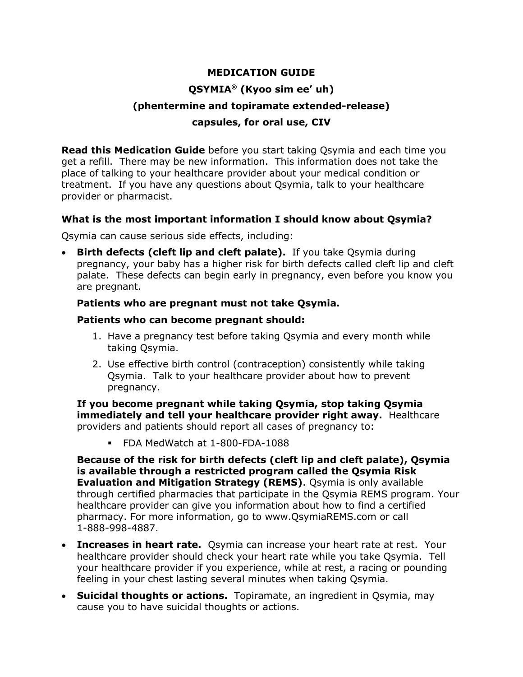# **MEDICATION GUIDE QSYMIA® (Kyoo sim ee' uh) (phentermine and topiramate extended-release) capsules, for oral use, CIV**

**Read this Medication Guide** before you start taking Qsymia and each time you get a refill. There may be new information. This information does not take the place of talking to your healthcare provider about your medical condition or treatment. If you have any questions about Qsymia, talk to your healthcare provider or pharmacist.

#### <span id="page-0-0"></span>**What is the most important information I should know about Qsymia?**

Qsymia can cause serious side effects, including:

• **Birth defects (cleft lip and cleft palate).** If you take Qsymia during pregnancy, your baby has a higher risk for birth defects called cleft lip and cleft palate. These defects can begin early in pregnancy, even before you know you are pregnant.

#### **Patients who are pregnant must not take Qsymia.**

#### **Patients who can become pregnant should:**

- 1. Have a pregnancy test before taking Qsymia and every month while taking Qsymia.
- 2. Use effective birth control (contraception) consistently while taking Qsymia. Talk to your healthcare provider about how to prevent pregnancy.

**If you become pregnant while taking Qsymia, stop taking Qsymia immediately and tell your healthcare provider right away.** Healthcare providers and patients should report all cases of pregnancy to:

FDA MedWatch at 1-800-FDA-1088

**Because of the risk for birth defects (cleft lip and cleft palate), Qsymia is available through a restricted program called the Qsymia Risk Evaluation and Mitigation Strategy (REMS)**. Qsymia is only available through certified pharmacies that participate in the Qsymia REMS program. Your healthcare provider can give you information about how to find a certified pharmacy. For more information, go to www.[QsymiaREMS](http://www.qsymiarems.com/).com or call 1-888-998-4887.

- **Increases in heart rate.** Qsymia can increase your heart rate at rest. Your healthcare provider should check your heart rate while you take Qsymia. Tell your healthcare provider if you experience, while at rest, a racing or pounding feeling in your chest lasting several minutes when taking Qsymia.
- **Suicidal thoughts or actions.** Topiramate, an ingredient in Qsymia, may cause you to have suicidal thoughts or actions.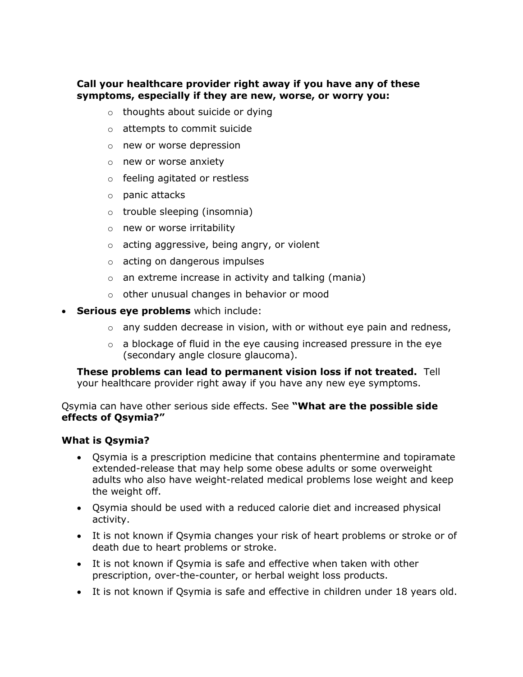# **Call your healthcare provider right away if you have any of these symptoms, especially if they are new, worse, or worry you:**

- o thoughts about suicide or dying
- o attempts to commit suicide
- o new or worse depression
- o new or worse anxiety
- o feeling agitated or restless
- o panic attacks
- o trouble sleeping (insomnia)
- o new or worse irritability
- o acting aggressive, being angry, or violent
- o acting on dangerous impulses
- o an extreme increase in activity and talking (mania)
- o other unusual changes in behavior or mood
- **Serious eye problems** which include:
	- $\circ$  any sudden decrease in vision, with or without eye pain and redness,
	- $\circ$  a blockage of fluid in the eye causing increased pressure in the eye (secondary angle closure glaucoma).

**These problems can lead to permanent vision loss if not treated.** Tell your healthcare provider right away if you have any new eye symptoms.

Qsymia can have other serious side effects. See **"What are the possible side effects of Qsymia?"**

#### **What is Qsymia?**

- Qsymia is a prescription medicine that contains phentermine and topiramate extended-release that may help some obese adults or some overweight adults who also have weight-related medical problems lose weight and keep the weight off.
- Qsymia should be used with a reduced calorie diet and increased physical activity.
- It is not known if Qsymia changes your risk of heart problems or stroke or of death due to heart problems or stroke.
- It is not known if Qsymia is safe and effective when taken with other prescription, over-the-counter, or herbal weight loss products.
- It is not known if Qsymia is safe and effective in children under 18 years old.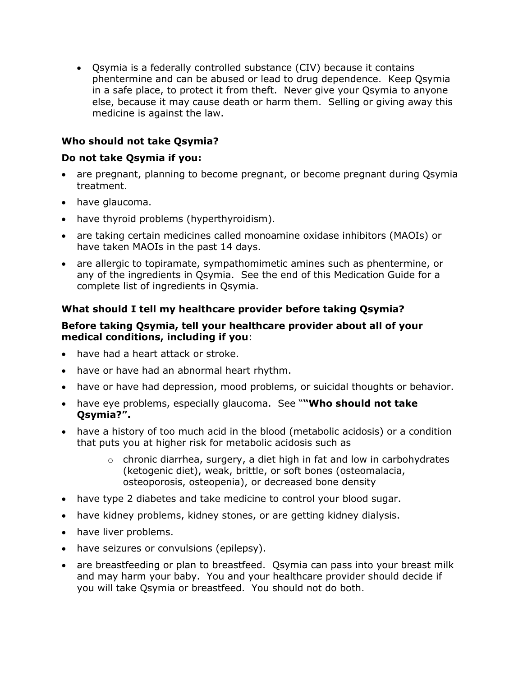• Qsymia is a federally controlled substance (CIV) because it contains phentermine and can be abused or lead to drug dependence. Keep Qsymia in a safe place, to protect it from theft. Never give your Qsymia to anyone else, because it may cause death or harm them. Selling or giving away this medicine is against the law.

# **Who should not take Qsymia?**

# **Do not take Qsymia if you:**

- are pregnant, planning to become pregnant, or become pregnant during Qsymia treatment.
- have glaucoma.
- have thyroid problems (hyperthyroidism).
- are taking certain medicines called monoamine oxidase inhibitors (MAOIs) or have taken MAOIs in the past 14 days.
- are allergic to topiramate, sympathomimetic amines such as phentermine, or any of the ingredients in Qsymia. See the end of this Medication Guide for a complete list of ingredients in Qsymia.

# **What should I tell my healthcare provider before taking Qsymia?**

#### **Before taking Qsymia, tell your healthcare provider about all of your medical conditions, including if you**:

- have had a heart attack or stroke.
- have or have had an abnormal heart rhythm.
- have or have had depression, mood problems, or suicidal thoughts or behavior.
- have eye problems, especially glaucoma. See "**"Who should not take Qsymia?".**
- have a history of too much acid in the blood (metabolic acidosis) or a condition that puts you at higher risk for metabolic acidosis such as
	- $\circ$  chronic diarrhea, surgery, a diet high in fat and low in carbohydrates (ketogenic diet), weak, brittle, or soft bones (osteomalacia, osteoporosis, osteopenia), or decreased bone density
- have type 2 diabetes and take medicine to control your blood sugar.
- have kidney problems, kidney stones, or are getting kidney dialysis.
- have liver problems.
- have seizures or convulsions (epilepsy).
- are breastfeeding or plan to breastfeed. Qsymia can pass into your breast milk and may harm your baby. You and your healthcare provider should decide if you will take Qsymia or breastfeed. You should not do both.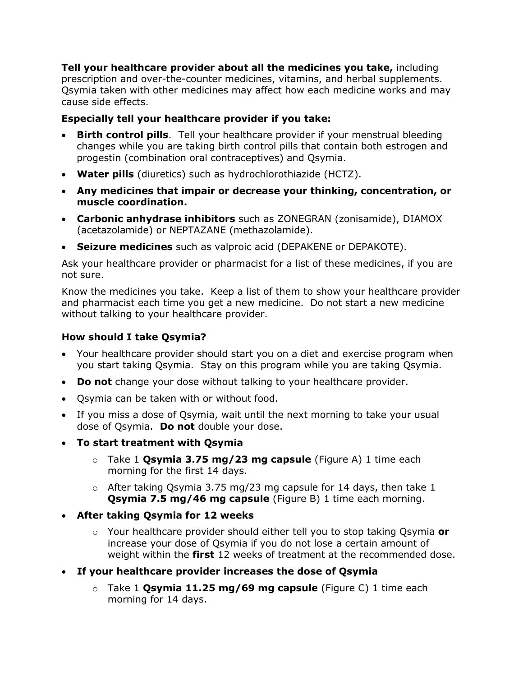**Tell your healthcare provider about all the medicines you take,** including prescription and over-the-counter medicines, vitamins, and herbal supplements. Qsymia taken with other medicines may affect how each medicine works and may cause side effects.

# **Especially tell your healthcare provider if you take:**

- **Birth control pills**. Tell your healthcare provider if your menstrual bleeding changes while you are taking birth control pills that contain both estrogen and progestin (combination oral contraceptives) and Qsymia.
- **Water pills** (diuretics) such as hydrochlorothiazide (HCTZ).
- **Any medicines that impair or decrease your thinking, concentration, or muscle coordination.**
- **Carbonic anhydrase inhibitors** such as ZONEGRAN (zonisamide), DIAMOX (acetazolamide) or NEPTAZANE (methazolamide).
- **Seizure medicines** such as valproic acid (DEPAKENE or DEPAKOTE).

Ask your healthcare provider or pharmacist for a list of these medicines, if you are not sure.

Know the medicines you take. Keep a list of them to show your healthcare provider and pharmacist each time you get a new medicine. Do not start a new medicine without talking to your healthcare provider.

# **How should I take Qsymia?**

- Your healthcare provider should start you on a diet and exercise program when you start taking Qsymia. Stay on this program while you are taking Qsymia.
- **Do not** change your dose without talking to your healthcare provider.
- Qsymia can be taken with or without food.
- If you miss a dose of Qsymia, wait until the next morning to take your usual dose of Qsymia. **Do not** double your dose.
- **To start treatment with Qsymia**
	- o Take 1 **Qsymia 3.75 mg/23 mg capsule** (Figure A) 1 time each morning for the first 14 days.
	- $\circ$  After taking Osymia 3.75 mg/23 mg capsule for 14 days, then take 1 **Qsymia 7.5 mg/46 mg capsule** (Figure B) 1 time each morning.
- **After taking Qsymia for 12 weeks**
	- o Your healthcare provider should either tell you to stop taking Qsymia **or** increase your dose of Qsymia if you do not lose a certain amount of weight within the **first** 12 weeks of treatment at the recommended dose.
- **If your healthcare provider increases the dose of Qsymia**
	- o Take 1 **Qsymia 11.25 mg/69 mg capsule** (Figure C) 1 time each morning for 14 days.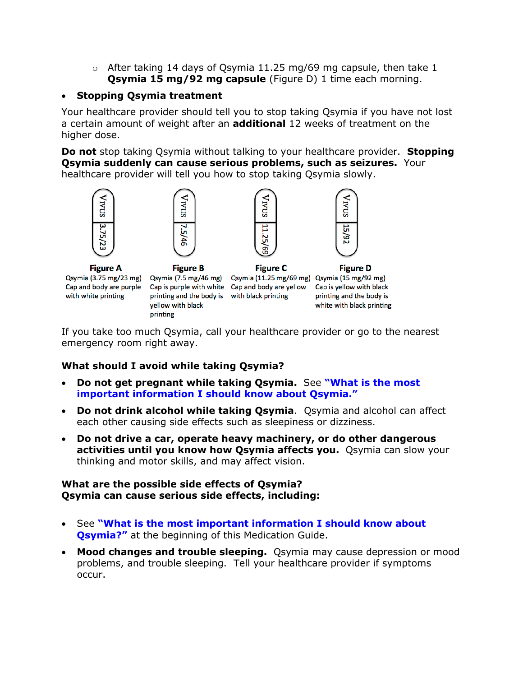$\circ$  After taking 14 days of Qsymia 11.25 mg/69 mg capsule, then take 1 **Qsymia 15 mg/92 mg capsule** (Figure D) 1 time each morning.

#### • **Stopping Qsymia treatment**

Your healthcare provider should tell you to stop taking Qsymia if you have not lost a certain amount of weight after an **additional** 12 weeks of treatment on the higher dose.

**Do not** stop taking Qsymia without talking to your healthcare provider. **Stopping Qsymia suddenly can cause serious problems, such as seizures.** Your healthcare provider will tell you how to stop taking Qsymia slowly.





**Figure A** Qsymia (3.75 mg/23 mg) Qsymia (7.5 mg/46 mg) Qsymia (11.25 mg/69 mg) Qsymia (15 mg/92 mg) Cap and body are purple with white printing

**Figure B** printing and the body is with black printing yellow with black printing



**Figure C** Cap is purple with white Cap and body are yellow



**Figure D** Cap is yellow with black printing and the body is white with black printing

If you take too much Qsymia, call your healthcare provider or go to the nearest emergency room right away.

## **What should I avoid while taking Qsymia?**

- **Do not get pregnant while taking Qsymia.** See **["What is the most](#page-0-0)  [important information I should know about Qsymia."](#page-0-0)**
- **Do not drink alcohol while taking Qsymia**. Qsymia and alcohol can affect each other causing side effects such as sleepiness or dizziness.
- **Do not drive a car, operate heavy machinery, or do other dangerous activities until you know how Qsymia affects you.** Qsymia can slow your thinking and motor skills, and may affect vision.

## **What are the possible side effects of Qsymia? Qsymia can cause serious side effects, including:**

- See **["What is the most important information](#page-0-0) I should know about [Qsymia?"](#page-0-0)** at the beginning of this Medication Guide.
- **Mood changes and trouble sleeping.** Qsymia may cause depression or mood problems, and trouble sleeping. Tell your healthcare provider if symptoms occur.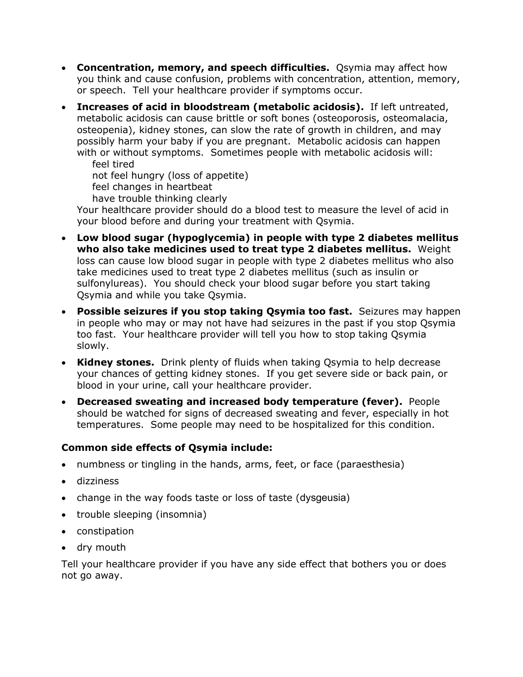- **Concentration, memory, and speech difficulties.** Qsymia may affect how you think and cause confusion, problems with concentration, attention, memory, or speech. Tell your healthcare provider if symptoms occur.
- **Increases of acid in bloodstream (metabolic acidosis).** If left untreated, metabolic acidosis can cause brittle or soft bones (osteoporosis, osteomalacia, osteopenia), kidney stones, can slow the rate of growth in children, and may possibly harm your baby if you are pregnant. Metabolic acidosis can happen with or without symptoms. Sometimes people with metabolic acidosis will: feel tired

not feel hungry (loss of appetite)

feel changes in heartbeat

have trouble thinking clearly

Your healthcare provider should do a blood test to measure the level of acid in your blood before and during your treatment with Qsymia.

- **Low blood sugar (hypoglycemia) in people with type 2 diabetes mellitus who also take medicines used to treat type 2 diabetes mellitus.** Weight loss can cause low blood sugar in people with type 2 diabetes mellitus who also take medicines used to treat type 2 diabetes mellitus (such as insulin or sulfonylureas). You should check your blood sugar before you start taking Qsymia and while you take Qsymia.
- **Possible seizures if you stop taking Qsymia too fast.** Seizures may happen in people who may or may not have had seizures in the past if you stop Qsymia too fast.Your healthcare provider will tell you how to stop taking Qsymia slowly.
- **Kidney stones.** Drink plenty of fluids when taking Qsymia to help decrease your chances of getting kidney stones. If you get severe side or back pain, or blood in your urine, call your healthcare provider.
- **Decreased sweating and increased body temperature (fever).** People should be watched for signs of decreased sweating and fever, especially in hot temperatures. Some people may need to be hospitalized for this condition.

# **Common side effects of Qsymia include:**

- numbness or tingling in the hands, arms, feet, or face (paraesthesia)
- dizziness
- change in the way foods taste or loss of taste (dysgeusia)
- trouble sleeping (insomnia)
- constipation
- dry mouth

Tell your healthcare provider if you have any side effect that bothers you or does not go away.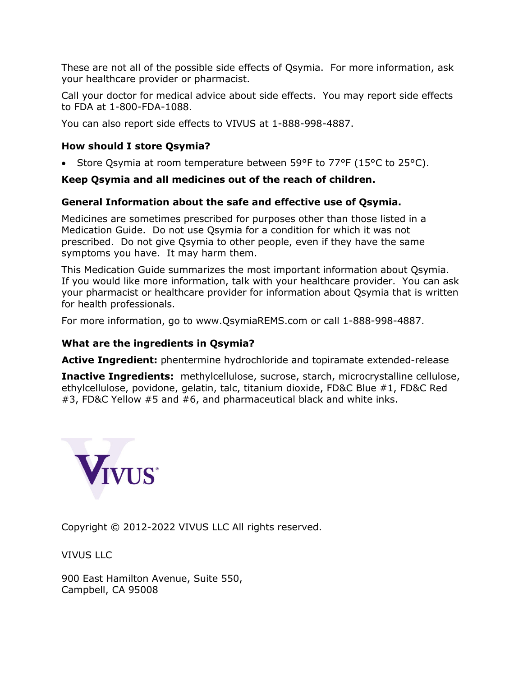These are not all of the possible side effects of Qsymia. For more information, ask your healthcare provider or pharmacist.

Call your doctor for medical advice about side effects. You may report side effects to FDA at 1-800-FDA-1088.

You can also report side effects to VIVUS at 1-888-998-4887.

# **How should I store Qsymia?**

• Store Qsymia at room temperature between 59°F to 77°F (15°C to 25°C).

# **Keep Qsymia and all medicines out of the reach of children.**

# **General Information about the safe and effective use of Qsymia.**

Medicines are sometimes prescribed for purposes other than those listed in a Medication Guide. Do not use Qsymia for a condition for which it was not prescribed. Do not give Qsymia to other people, even if they have the same symptoms you have. It may harm them.

This Medication Guide summarizes the most important information about Qsymia. If you would like more information, talk with your healthcare provider. You can ask your pharmacist or healthcare provider for information about Qsymia that is written for health professionals.

For more information, go to www.QsymiaREMS.com or call 1-888-998-4887.

## **What are the ingredients in Qsymia?**

**Active Ingredient:** phentermine hydrochloride and topiramate extended-release

**Inactive Ingredients:** methylcellulose, sucrose, starch, microcrystalline cellulose, ethylcellulose, povidone, gelatin, talc, titanium dioxide, FD&C Blue #1, FD&C Red #3, FD&C Yellow #5 and #6, and pharmaceutical black and white inks.



Copyright © 2012-2022 VIVUS LLC All rights reserved.

VIVUS LLC

900 East Hamilton Avenue, Suite 550, Campbell, CA 95008